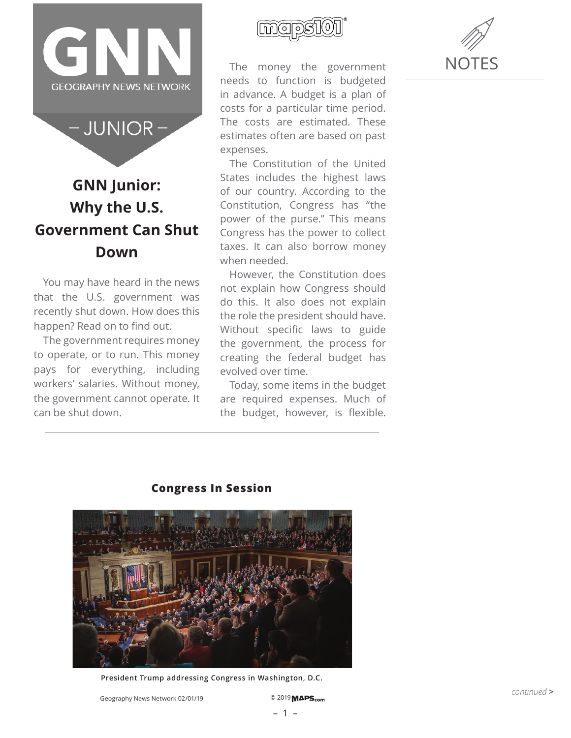

 $-$  JUNIOR  $-$ 

# **GNN Junior: Why the U.S. Government Can Shut Down**

You may have heard in the news that the U.S. government was recently shut down. How does this happen? Read on to find out.

The government requires money to operate, or to run. This money pays for everything, including workers' salaries. Without money, the government cannot operate. It can be shut down.



The money the government needs to function is budgeted in advance. A budget is a plan of costs for a particular time period. The costs are estimated. These estimates often are based on past expenses.

The Constitution of the United States includes the highest laws of our country. According to the Constitution, Congress has "the power of the purse." This means Congress has the power to collect taxes. It can also borrow money when needed.

However, the Constitution does not explain how Congress should do this. It also does not explain the role the president should have. Without specific laws to guide the government, the process for creating the federal budget has evolved over time.

Today, some items in the budget are required expenses. Much of the budget, however, is flexible.





## **Congress In Session**

**President Trump addressing Congress in Washington, D.C.**

Geography News Network 02/01/19 <sup>©</sup> 2019 **MAPS**<sub>com</sub>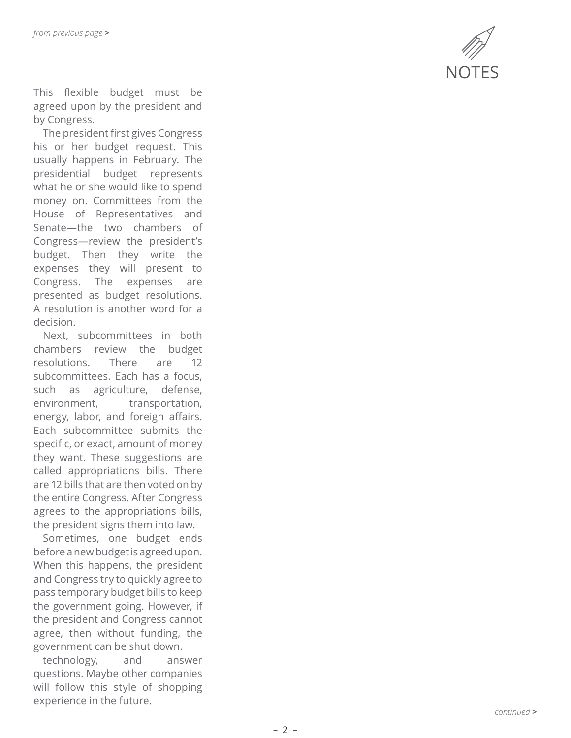

This flexible budget must be agreed upon by the president and by Congress.

The president first gives Congress his or her budget request. This usually happens in February. The presidential budget represents what he or she would like to spend money on. Committees from the House of Representatives and Senate—the two chambers of Congress—review the president's budget. Then they write the expenses they will present to Congress. The expenses are presented as budget resolutions. A resolution is another word for a decision.

Next, subcommittees in both chambers review the budget resolutions. There are 12 subcommittees. Each has a focus, such as agriculture, defense, environment, transportation, energy, labor, and foreign affairs. Each subcommittee submits the specific, or exact, amount of money they want. These suggestions are called appropriations bills. There are 12 bills that are then voted on by the entire Congress. After Congress agrees to the appropriations bills, the president signs them into law.

Sometimes, one budget ends before a new budget is agreed upon. When this happens, the president and Congress try to quickly agree to pass temporary budget bills to keep the government going. However, if the president and Congress cannot agree, then without funding, the government can be shut down.

technology, and answer questions. Maybe other companies will follow this style of shopping experience in the future.